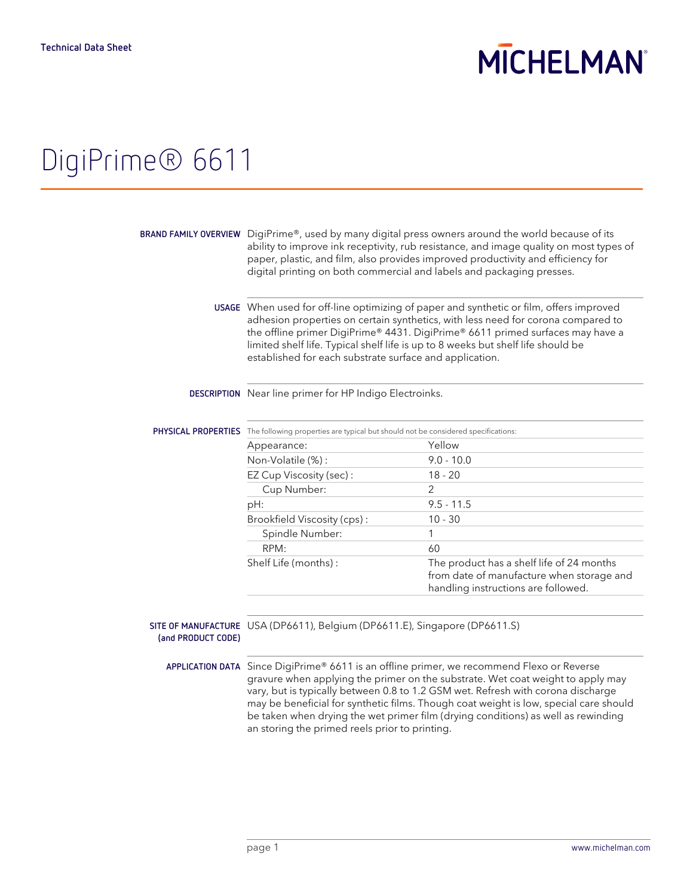# **MICHELMAN**

## DigiPrime® 6611

**BRAND FAMILY OVERVIEW** DigiPrime®, used by many digital press owners around the world because of its ability to improve ink receptivity, rub resistance, and image quality on most types of paper, plastic, and film, also provides improved productivity and efficiency for digital printing on both commercial and labels and packaging presses.

> **USAGE** When used for off-line optimizing of paper and synthetic or film, offers improved adhesion properties on certain synthetics, with less need for corona compared to the offline primer DigiPrime® 4431. DigiPrime® 6611 primed surfaces may have a limited shelf life. Typical shelf life is up to 8 weeks but shelf life should be established for each substrate surface and application.

## **DESCRIPTION** Near line primer for HP Indigo Electroinks.

| The following properties are typical but should not be considered specifications: |                                                                                                                               |
|-----------------------------------------------------------------------------------|-------------------------------------------------------------------------------------------------------------------------------|
| Appearance:                                                                       | Yellow                                                                                                                        |
| Non-Volatile (%):                                                                 | $9.0 - 10.0$                                                                                                                  |
| EZ Cup Viscosity (sec):                                                           | $18 - 20$                                                                                                                     |
| Cup Number:                                                                       | 2                                                                                                                             |
| pH:                                                                               | $9.5 - 11.5$                                                                                                                  |
| Brookfield Viscosity (cps):                                                       | $10 - 30$                                                                                                                     |
| Spindle Number:                                                                   |                                                                                                                               |
| RPM:                                                                              | 60                                                                                                                            |
| Shelf Life (months):                                                              | The product has a shelf life of 24 months<br>from date of manufacture when storage and<br>handling instructions are followed. |
|                                                                                   |                                                                                                                               |

## **SITE OF MANUFACTURE** USA (DP6611), Belgium (DP6611.E), Singapore (DP6611.S) **(and PRODUCT CODE)**

**APPLICATION DATA** Since DigiPrime® 6611 is an offline primer, we recommend Flexo or Reverse gravure when applying the primer on the substrate. Wet coat weight to apply may vary, but is typically between 0.8 to 1.2 GSM wet. Refresh with corona discharge may be beneficial for synthetic films. Though coat weight is low, special care should be taken when drying the wet primer film (drying conditions) as well as rewinding an storing the primed reels prior to printing.